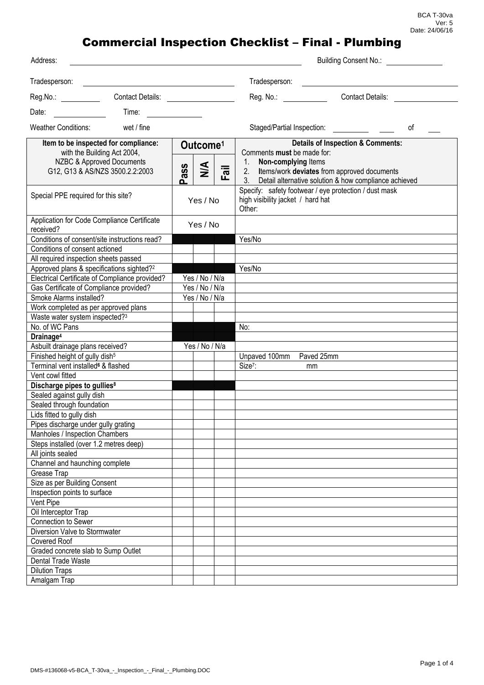| Address:                                                            |                      |                |                                                                                                      | <b>Building Consent No.:</b>                          |
|---------------------------------------------------------------------|----------------------|----------------|------------------------------------------------------------------------------------------------------|-------------------------------------------------------|
| Tradesperson:                                                       |                      |                | Tradesperson:                                                                                        |                                                       |
| Reg.No.:                                                            |                      |                | Reg. No.: <b>Reg.</b> No.:                                                                           | <b>Contact Details:</b>                               |
| Date:<br>Time:                                                      |                      |                |                                                                                                      |                                                       |
| <b>Weather Conditions:</b><br>wet / fine                            |                      |                | Staged/Partial Inspection:                                                                           | οf                                                    |
| Item to be inspected for compliance:<br>with the Building Act 2004, | Outcome <sup>1</sup> |                | Comments must be made for:                                                                           | <b>Details of Inspection &amp; Comments:</b>          |
| NZBC & Approved Documents<br>G12, G13 & AS/NZS 3500.2.2:2003        | ssp<br>o             | $\leq$<br>Fail | 1.<br>Non-complying Items<br>Items/work deviates from approved documents<br>2.<br>3 <sub>1</sub>     | Detail alternative solution & how compliance achieved |
| Special PPE required for this site?                                 | Yes / No             |                | Specify: safety footwear / eye protection / dust mask<br>high visibility jacket / hard hat<br>Other: |                                                       |
| Application for Code Compliance Certificate<br>received?            | Yes / No             |                |                                                                                                      |                                                       |
| Conditions of consent/site instructions read?                       |                      |                | Yes/No                                                                                               |                                                       |
| Conditions of consent actioned                                      |                      |                |                                                                                                      |                                                       |
| All required inspection sheets passed                               |                      |                |                                                                                                      |                                                       |
| Approved plans & specifications sighted? <sup>2</sup>               |                      |                | Yes/No                                                                                               |                                                       |
| Electrical Certificate of Compliance provided?                      | Yes / No / N/a       |                |                                                                                                      |                                                       |
| Gas Certificate of Compliance provided?                             | Yes / No / N/a       |                |                                                                                                      |                                                       |
| Smoke Alarms installed?                                             | Yes / No / N/a       |                |                                                                                                      |                                                       |
| Work completed as per approved plans                                |                      |                |                                                                                                      |                                                       |
| Waste water system inspected?3                                      |                      |                |                                                                                                      |                                                       |
| No. of WC Pans                                                      |                      |                | No:                                                                                                  |                                                       |
| Drainage <sup>4</sup>                                               |                      |                |                                                                                                      |                                                       |
| Asbuilt drainage plans received?                                    |                      | Yes / No / N/a |                                                                                                      |                                                       |
| Finished height of gully dish <sup>5</sup>                          |                      |                | Paved 25mm<br>Unpaved 100mm                                                                          |                                                       |
| Terminal vent installed <sup>6</sup> & flashed                      |                      |                | Size <sup>7</sup> :<br><sub>mm</sub>                                                                 |                                                       |
| Vent cowl fitted                                                    |                      |                |                                                                                                      |                                                       |
| Discharge pipes to gullies <sup>8</sup>                             |                      |                |                                                                                                      |                                                       |
| Sealed against gully dish                                           |                      |                |                                                                                                      |                                                       |
| Sealed through foundation                                           |                      |                |                                                                                                      |                                                       |
| Lids fitted to gully dish                                           |                      |                |                                                                                                      |                                                       |
| Pipes discharge under gully grating                                 |                      |                |                                                                                                      |                                                       |
| Manholes / Inspection Chambers                                      |                      |                |                                                                                                      |                                                       |
| Steps installed (over 1.2 metres deep)                              |                      |                |                                                                                                      |                                                       |
| All joints sealed                                                   |                      |                |                                                                                                      |                                                       |
| Channel and haunching complete<br>Grease Trap                       |                      |                |                                                                                                      |                                                       |
| Size as per Building Consent                                        |                      |                |                                                                                                      |                                                       |
| Inspection points to surface                                        |                      |                |                                                                                                      |                                                       |
| Vent Pipe                                                           |                      |                |                                                                                                      |                                                       |
| Oil Interceptor Trap                                                |                      |                |                                                                                                      |                                                       |
| Connection to Sewer                                                 |                      |                |                                                                                                      |                                                       |
| Diversion Valve to Stormwater                                       |                      |                |                                                                                                      |                                                       |
| <b>Covered Roof</b>                                                 |                      |                |                                                                                                      |                                                       |
| Graded concrete slab to Sump Outlet                                 |                      |                |                                                                                                      |                                                       |
| Dental Trade Waste                                                  |                      |                |                                                                                                      |                                                       |
| <b>Dilution Traps</b>                                               |                      |                |                                                                                                      |                                                       |
| Amalgam Trap                                                        |                      |                |                                                                                                      |                                                       |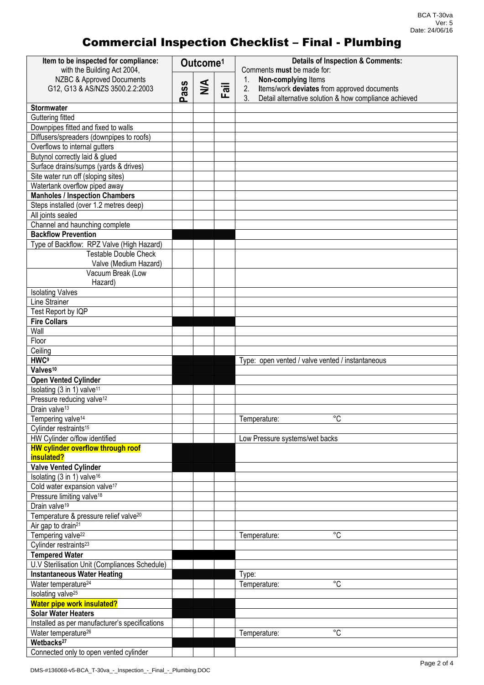| Item to be inspected for compliance:                        | Outcome <sup>1</sup> |               |      | <b>Details of Inspection &amp; Comments:</b>                       |
|-------------------------------------------------------------|----------------------|---------------|------|--------------------------------------------------------------------|
| with the Building Act 2004,                                 |                      |               |      | Comments must be made for:                                         |
| NZBC & Approved Documents                                   |                      | $\frac{4}{2}$ |      | Non-complying Items<br>$1_{\cdot}$                                 |
| G12, G13 & AS/NZS 3500.2.2:2003                             | Pass                 |               | Fail | 2.<br>Items/work deviates from approved documents<br>$\mathcal{S}$ |
| <b>Stormwater</b>                                           |                      |               |      | Detail alternative solution & how compliance achieved              |
| Guttering fitted                                            |                      |               |      |                                                                    |
| Downpipes fitted and fixed to walls                         |                      |               |      |                                                                    |
| Diffusers/spreaders (downpipes to roofs)                    |                      |               |      |                                                                    |
| Overflows to internal gutters                               |                      |               |      |                                                                    |
| Butynol correctly laid & glued                              |                      |               |      |                                                                    |
| Surface drains/sumps (yards & drives)                       |                      |               |      |                                                                    |
| Site water run off (sloping sites)                          |                      |               |      |                                                                    |
| Watertank overflow piped away                               |                      |               |      |                                                                    |
| <b>Manholes / Inspection Chambers</b>                       |                      |               |      |                                                                    |
| Steps installed (over 1.2 metres deep)                      |                      |               |      |                                                                    |
| All joints sealed                                           |                      |               |      |                                                                    |
| Channel and haunching complete                              |                      |               |      |                                                                    |
| <b>Backflow Prevention</b>                                  |                      |               |      |                                                                    |
| Type of Backflow: RPZ Valve (High Hazard)                   |                      |               |      |                                                                    |
| <b>Testable Double Check</b>                                |                      |               |      |                                                                    |
| Valve (Medium Hazard)                                       |                      |               |      |                                                                    |
| Vacuum Break (Low                                           |                      |               |      |                                                                    |
| Hazard)                                                     |                      |               |      |                                                                    |
| <b>Isolating Valves</b>                                     |                      |               |      |                                                                    |
| Line Strainer                                               |                      |               |      |                                                                    |
| Test Report by IQP                                          |                      |               |      |                                                                    |
| <b>Fire Collars</b>                                         |                      |               |      |                                                                    |
| Wall                                                        |                      |               |      |                                                                    |
| Floor                                                       |                      |               |      |                                                                    |
| Ceiling                                                     |                      |               |      |                                                                    |
| <b>HMC<sub>a</sub></b>                                      |                      |               |      | Type: open vented / valve vented / instantaneous                   |
| Valves <sup>10</sup>                                        |                      |               |      |                                                                    |
| <b>Open Vented Cylinder</b>                                 |                      |               |      |                                                                    |
| Isolating $(3 \overline{\text{in } 1})$ valve <sup>11</sup> |                      |               |      |                                                                    |
| Pressure reducing valve <sup>12</sup>                       |                      |               |      |                                                                    |
| Drain valve <sup>13</sup>                                   |                      |               |      |                                                                    |
| Tempering valve <sup>14</sup>                               |                      |               |      | ∘∩<br>Temperature:                                                 |
| Cylinder restraints <sup>15</sup>                           |                      |               |      |                                                                    |
| HW Cylinder o/flow identified                               |                      |               |      | Low Pressure systems/wet backs                                     |
| <b>HW cylinder overflow through roof</b><br>insulated?      |                      |               |      |                                                                    |
| <b>Valve Vented Cylinder</b>                                |                      |               |      |                                                                    |
| Isolating (3 in 1) valve <sup>16</sup>                      |                      |               |      |                                                                    |
| Cold water expansion valve <sup>17</sup>                    |                      |               |      |                                                                    |
| Pressure limiting valve <sup>18</sup>                       |                      |               |      |                                                                    |
| Drain valve <sup>19</sup>                                   |                      |               |      |                                                                    |
| Temperature & pressure relief valve <sup>20</sup>           |                      |               |      |                                                                    |
| Air gap to drain <sup>21</sup>                              |                      |               |      |                                                                    |
| Tempering valve <sup>22</sup>                               |                      |               |      | $^{\circ}C$<br>Temperature:                                        |
| Cylinder restraints <sup>23</sup>                           |                      |               |      |                                                                    |
| <b>Tempered Water</b>                                       |                      |               |      |                                                                    |
| U.V Sterilisation Unit (Compliances Schedule)               |                      |               |      |                                                                    |
| <b>Instantaneous Water Heating</b>                          |                      |               |      | Type:                                                              |
| Water temperature <sup>24</sup>                             |                      |               |      | °C<br>Temperature:                                                 |
| Isolating valve <sup>25</sup>                               |                      |               |      |                                                                    |
| <b>Water pipe work insulated?</b>                           |                      |               |      |                                                                    |
| <b>Solar Water Heaters</b>                                  |                      |               |      |                                                                    |
| Installed as per manufacturer's specifications              |                      |               |      |                                                                    |
| Water temperature <sup>26</sup>                             |                      |               |      | $^{\circ}C$<br>Temperature:                                        |
| Wetbacks <sup>27</sup>                                      |                      |               |      |                                                                    |
| Connected only to open vented cylinder                      |                      |               |      |                                                                    |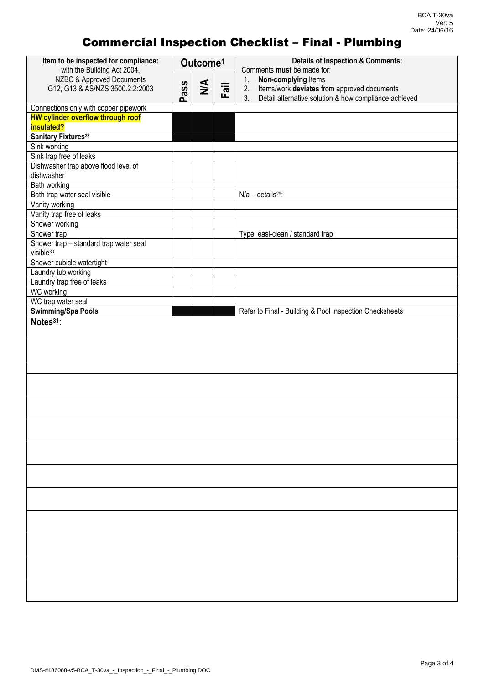| Item to be inspected for compliance:<br>with the Building Act 2004,               | Outcome <sup>1</sup> |               |      | <b>Details of Inspection &amp; Comments:</b><br>Comments must be made for: |  |
|-----------------------------------------------------------------------------------|----------------------|---------------|------|----------------------------------------------------------------------------|--|
| NZBC & Approved Documents                                                         |                      |               |      | Non-complying Items<br>1.                                                  |  |
| G12, G13 & AS/NZS 3500.2.2:2003                                                   | Pass                 | $\frac{4}{2}$ | Fail | Items/work deviates from approved documents<br>2.                          |  |
|                                                                                   |                      |               |      | 3 <sub>1</sub><br>Detail alternative solution & how compliance achieved    |  |
| Connections only with copper pipework<br><b>HW cylinder overflow through roof</b> |                      |               |      |                                                                            |  |
| insulated?                                                                        |                      |               |      |                                                                            |  |
| <b>Sanitary Fixtures<sup>28</sup></b>                                             |                      |               |      |                                                                            |  |
| Sink working                                                                      |                      |               |      |                                                                            |  |
| Sink trap free of leaks                                                           |                      |               |      |                                                                            |  |
| Dishwasher trap above flood level of                                              |                      |               |      |                                                                            |  |
| dishwasher                                                                        |                      |               |      |                                                                            |  |
| Bath working                                                                      |                      |               |      |                                                                            |  |
| Bath trap water seal visible                                                      |                      |               |      | $N/a - details29$ :                                                        |  |
| Vanity working                                                                    |                      |               |      |                                                                            |  |
| Vanity trap free of leaks<br>Shower working                                       |                      |               |      |                                                                            |  |
| Shower trap                                                                       |                      |               |      | Type: easi-clean / standard trap                                           |  |
| Shower trap - standard trap water seal                                            |                      |               |      |                                                                            |  |
| visible <sup>30</sup>                                                             |                      |               |      |                                                                            |  |
| Shower cubicle watertight                                                         |                      |               |      |                                                                            |  |
| Laundry tub working                                                               |                      |               |      |                                                                            |  |
| Laundry trap free of leaks                                                        |                      |               |      |                                                                            |  |
| <b>WC</b> working                                                                 |                      |               |      |                                                                            |  |
| WC trap water seal                                                                |                      |               |      |                                                                            |  |
| <b>Swimming/Spa Pools</b>                                                         |                      |               |      | Refer to Final - Building & Pool Inspection Checksheets                    |  |
| Notes $31$ :                                                                      |                      |               |      |                                                                            |  |
|                                                                                   |                      |               |      |                                                                            |  |
|                                                                                   |                      |               |      |                                                                            |  |
|                                                                                   |                      |               |      |                                                                            |  |
|                                                                                   |                      |               |      |                                                                            |  |
|                                                                                   |                      |               |      |                                                                            |  |
|                                                                                   |                      |               |      |                                                                            |  |
|                                                                                   |                      |               |      |                                                                            |  |
|                                                                                   |                      |               |      |                                                                            |  |
|                                                                                   |                      |               |      |                                                                            |  |
|                                                                                   |                      |               |      |                                                                            |  |
|                                                                                   |                      |               |      |                                                                            |  |
|                                                                                   |                      |               |      |                                                                            |  |
|                                                                                   |                      |               |      |                                                                            |  |
|                                                                                   |                      |               |      |                                                                            |  |
|                                                                                   |                      |               |      |                                                                            |  |
|                                                                                   |                      |               |      |                                                                            |  |
|                                                                                   |                      |               |      |                                                                            |  |
|                                                                                   |                      |               |      |                                                                            |  |
|                                                                                   |                      |               |      |                                                                            |  |
|                                                                                   |                      |               |      |                                                                            |  |
|                                                                                   |                      |               |      |                                                                            |  |
|                                                                                   |                      |               |      |                                                                            |  |
|                                                                                   |                      |               |      |                                                                            |  |
|                                                                                   |                      |               |      |                                                                            |  |
|                                                                                   |                      |               |      |                                                                            |  |
|                                                                                   |                      |               |      |                                                                            |  |